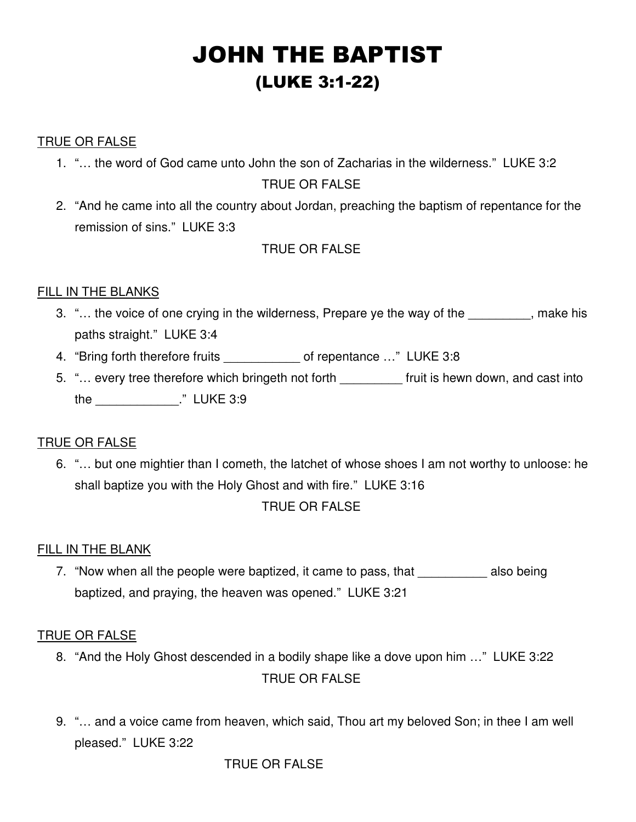# JOHN THE BAPTIST (LUKE 3:1-22)

## TRUE OR FALSE

1. "… the word of God came unto John the son of Zacharias in the wilderness." LUKE 3:2

### TRUE OR FALSE

2. "And he came into all the country about Jordan, preaching the baptism of repentance for the remission of sins." LUKE 3:3

# TRUE OR FALSE

# FILL IN THE BLANKS

- 3. "... the voice of one crying in the wilderness, Prepare ye the way of the  $\cdots$ , make his paths straight." LUKE 3:4
- 4. "Bring forth therefore fruits of repentance ..." LUKE 3:8
- 5. "… every tree therefore which bringeth not forth \_\_\_\_\_\_\_\_\_ fruit is hewn down, and cast into the \_\_\_\_\_\_\_\_\_\_\_\_." LUKE 3:9

### TRUE OR FALSE

6. "… but one mightier than I cometh, the latchet of whose shoes I am not worthy to unloose: he shall baptize you with the Holy Ghost and with fire." LUKE 3:16

# TRUE OR FALSE

### FILL IN THE BLANK

7. "Now when all the people were baptized, it came to pass, that also being baptized, and praying, the heaven was opened." LUKE 3:21

### TRUE OR FALSE

- 8. "And the Holy Ghost descended in a bodily shape like a dove upon him …" LUKE 3:22 TRUE OR FALSE
- 9. "… and a voice came from heaven, which said, Thou art my beloved Son; in thee I am well pleased." LUKE 3:22